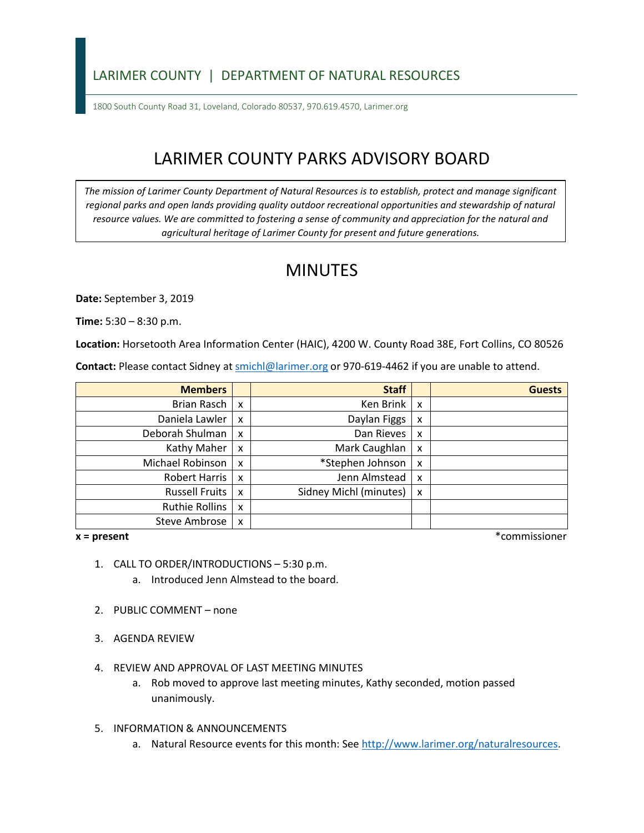### LARIMER COUNTY | DEPARTMENT OF NATURAL RESOURCES

1800 South County Road 31, Loveland, Colorado 80537, 970.619.4570, Larimer.org

# LARIMER COUNTY PARKS ADVISORY BOARD

*The mission of Larimer County Department of Natural Resources is to establish, protect and manage significant*  regional parks and open lands providing quality outdoor recreational opportunities and stewardship of natural *resource values. We are committed to fostering a sense of community and appreciation for the natural and agricultural heritage of Larimer County for present and future generations.* 

## MINUTES

**Date:** September 3, 2019

**Time:** 5:30 – 8:30 p.m.

**Location:** Horsetooth Area Information Center (HAIC), 4200 W. County Road 38E, Fort Collins, CO 80526

Contact: Please contact Sidney at **smichl@larimer.org** or 970-619-4462 if you are unable to attend.

| <b>Members</b>        |                           | <b>Staff</b>           |                           | <b>Guests</b> |
|-----------------------|---------------------------|------------------------|---------------------------|---------------|
| Brian Rasch           | $\boldsymbol{\mathsf{x}}$ | Ken Brink              | $\boldsymbol{\mathsf{x}}$ |               |
| Daniela Lawler        | X                         | Daylan Figgs           | X                         |               |
| Deborah Shulman       | $\boldsymbol{\mathsf{x}}$ | Dan Rieves             | X                         |               |
| Kathy Maher           | $\boldsymbol{\mathsf{x}}$ | Mark Caughlan          | X                         |               |
| Michael Robinson      | $\boldsymbol{\mathsf{x}}$ | *Stephen Johnson       | X                         |               |
| Robert Harris         | $\boldsymbol{\mathsf{x}}$ | Jenn Almstead          | x                         |               |
| <b>Russell Fruits</b> | $\boldsymbol{\mathsf{x}}$ | Sidney Michl (minutes) | X                         |               |
| <b>Ruthie Rollins</b> | $\boldsymbol{\mathsf{x}}$ |                        |                           |               |
| Steve Ambrose         | X                         |                        |                           |               |

#### $x = present$

**x = present** \*commissioner

- 1. CALL TO ORDER/INTRODUCTIONS 5:30 p.m.
	- a. Introduced Jenn Almstead to the board.
- 2. PUBLIC COMMENT none
- 3. AGENDA REVIEW
- 4. REVIEW AND APPROVAL OF LAST MEETING MINUTES
	- a. Rob moved to approve last meeting minutes, Kathy seconded, motion passed unanimously.
- 5. INFORMATION & ANNOUNCEMENTS
	- a. Natural Resource events for this month: See [http://www.larimer.org/naturalresources.](http://www.larimer.org/naturalresources)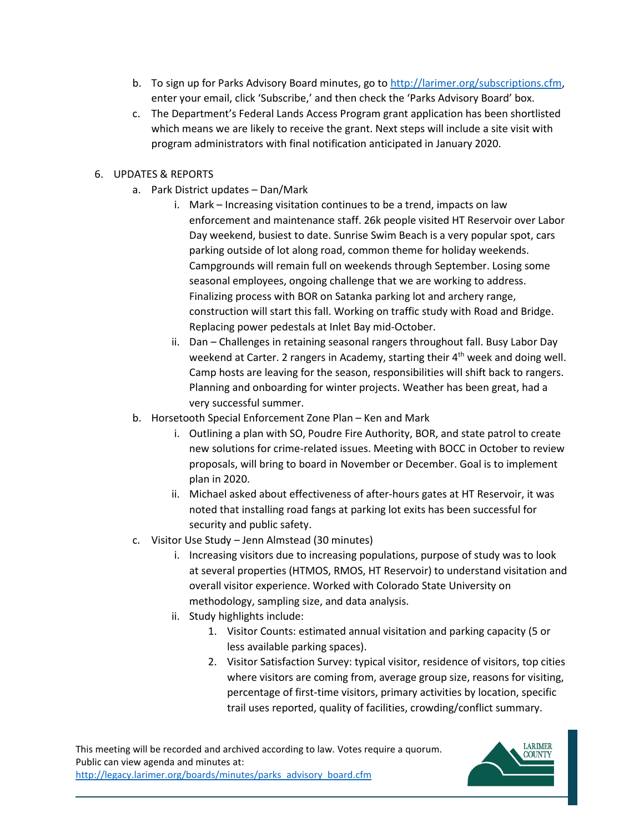- b. To sign up for Parks Advisory Board minutes, go to [http://larimer.org/subscriptions.cfm,](http://larimer.org/subscriptions.cfm) enter your email, click 'Subscribe,' and then check the 'Parks Advisory Board' box.
- which means we are likely to receive the grant. Next steps will include a site visit with c. The Department's Federal Lands Access Program grant application has been shortlisted program administrators with final notification anticipated in January 2020.

### 6. UPDATES & REPORTS

- a. Park District updates Dan/Mark
	- enforcement and maintenance staff. 26k people visited HT Reservoir over Labor parking outside of lot along road, common theme for holiday weekends. Campgrounds will remain full on weekends through September. Losing some Replacing power pedestals at Inlet Bay mid-October. i. Mark – Increasing visitation continues to be a trend, impacts on law Day weekend, busiest to date. Sunrise Swim Beach is a very popular spot, cars seasonal employees, ongoing challenge that we are working to address. Finalizing process with BOR on Satanka parking lot and archery range, construction will start this fall. Working on traffic study with Road and Bridge.
	- Planning and onboarding for winter projects. Weather has been great, had a ii. Dan – Challenges in retaining seasonal rangers throughout fall. Busy Labor Day weekend at Carter. 2 rangers in Academy, starting their  $4<sup>th</sup>$  week and doing well. Camp hosts are leaving for the season, responsibilities will shift back to rangers. very successful summer.
- b. Horsetooth Special Enforcement Zone Plan Ken and Mark
	- i. Outlining a plan with SO, Poudre Fire Authority, BOR, and state patrol to create new solutions for crime-related issues. Meeting with BOCC in October to review proposals, will bring to board in November or December. Goal is to implement plan in 2020.
	- ii. Michael asked about effectiveness of after-hours gates at HT Reservoir, it was noted that installing road fangs at parking lot exits has been successful for security and public safety.
- c. Visitor Use Study Jenn Almstead (30 minutes)
	- i. Increasing visitors due to increasing populations, purpose of study was to look at several properties (HTMOS, RMOS, HT Reservoir) to understand visitation and overall visitor experience. Worked with Colorado State University on methodology, sampling size, and data analysis.
	- ii. Study highlights include:
		- 1. Visitor Counts: estimated annual visitation and parking capacity (5 or less available parking spaces).
		- where visitors are coming from, average group size, reasons for visiting, trail uses reported, quality of facilities, crowding/conflict summary. 2. Visitor Satisfaction Survey: typical visitor, residence of visitors, top cities percentage of first-time visitors, primary activities by location, specific